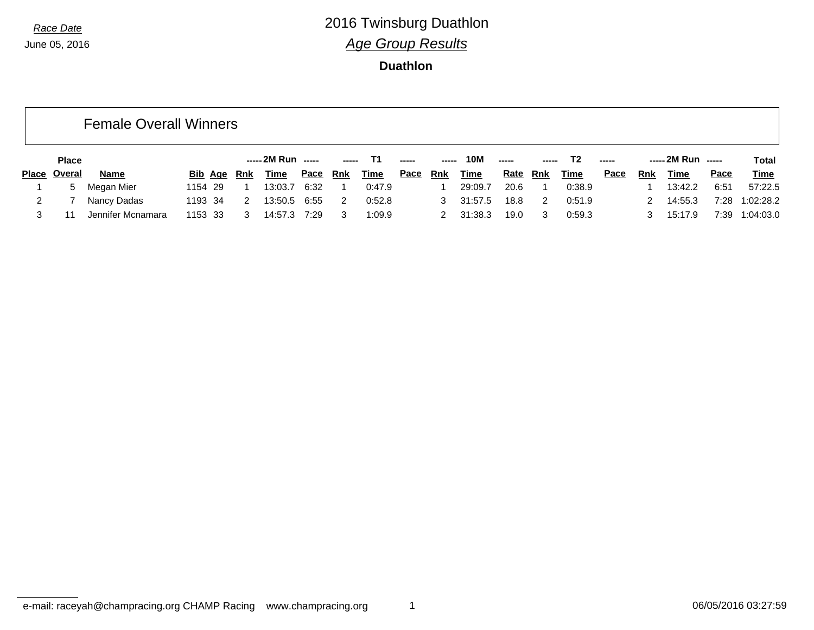|   |                     | <b>Female Overall Winners</b> |             |                    |              |            |             |             |            |             |               |            |             |      |            |                    |      |             |
|---|---------------------|-------------------------------|-------------|--------------------|--------------|------------|-------------|-------------|------------|-------------|---------------|------------|-------------|------|------------|--------------------|------|-------------|
|   | <b>Place</b>        |                               |             | ----- 2M Run ----- |              | -----      | - T1        |             | -----      | 10M         | $\frac{1}{2}$ |            | T2          |      |            | ----- 2M Run ----- |      | Total       |
|   | <b>Place Overal</b> | Name                          | Bib Age Rnk | Time               | <u>Pace</u>  | <u>Rnk</u> | <b>Time</b> | <u>Pace</u> | <u>Rnk</u> | <b>Time</b> | <u>Rate</u>   | <u>Rnk</u> | <b>Time</b> | Pace | <b>Rnk</b> | <u>Time</u>        | Pace | <b>Time</b> |
|   | 5                   | Megan Mier                    | 1154 29     | 13:03.7<br>-1      | 6:32         |            | 0:47.9      |             |            | 29:09.7     | 20.6          |            | 0:38.9      |      |            | 13:42.2            | 6:51 | 57:22.5     |
| 2 |                     | Nancy Dadas                   | 1193 34     | 13:50.5<br>2       | 6:55         | 2          | 0:52.8      |             | 3          | 31:57.5     | 18.8          | 2          | 0:51.9      |      |            | 14:55.3            | 7:28 | 1:02:28.2   |
|   | 11                  | Jennifer Mcnamara             | 1153 33     | 3                  | 14:57.3 7:29 | 3          | 1:09.9      |             |            | 31:38.3     | 19.0          | 3          | 0:59.3      |      |            | 15:17.9            | 7:39 | 1:04:03.0   |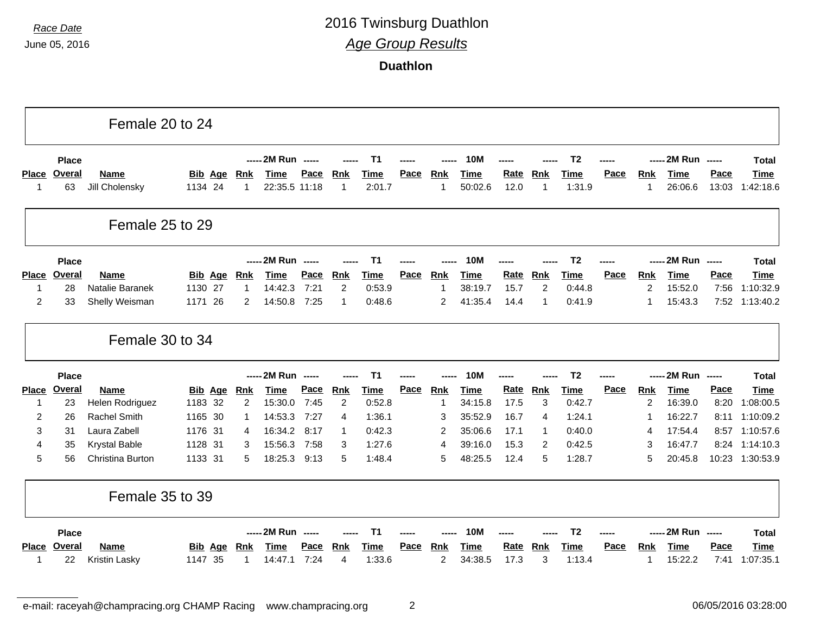**Duathlon**

|              |                     | Female 20 to 24               |                           |                 |                              |                     |                 |                       |             |                              |                        |              |                  |                       |             |                 |                        |                                                                                                                                                                                                                                                                                                                                                                                                                                                                                        |                          |
|--------------|---------------------|-------------------------------|---------------------------|-----------------|------------------------------|---------------------|-----------------|-----------------------|-------------|------------------------------|------------------------|--------------|------------------|-----------------------|-------------|-----------------|------------------------|----------------------------------------------------------------------------------------------------------------------------------------------------------------------------------------------------------------------------------------------------------------------------------------------------------------------------------------------------------------------------------------------------------------------------------------------------------------------------------------|--------------------------|
|              | <b>Place</b>        |                               |                           |                 | ----- 2M Run -----           |                     |                 | T <sub>1</sub>        |             |                              | <b>10M</b>             |              |                  | T <sub>2</sub>        |             |                 | ----- 2M Run -----     |                                                                                                                                                                                                                                                                                                                                                                                                                                                                                        | <b>Total</b>             |
| -1           | Place Overal<br>63  | <b>Name</b><br>Jill Cholensky | <b>Bib Age</b><br>1134 24 | <u>Rnk</u><br>1 | <b>Time</b><br>22:35.5 11:18 | Pace                | <b>Rnk</b><br>1 | <b>Time</b><br>2:01.7 | Pace        | <b>Rnk</b><br>-1             | <b>Time</b><br>50:02.6 | Rate<br>12.0 | <b>Rnk</b><br>-1 | <b>Time</b><br>1:31.9 | Pace        | <u>Rnk</u><br>1 | <b>Time</b><br>26:06.6 | Pace<br>13:03                                                                                                                                                                                                                                                                                                                                                                                                                                                                          | <b>Time</b><br>1:42:18.6 |
|              |                     | Female 25 to 29               |                           |                 |                              |                     |                 |                       |             |                              |                        |              |                  |                       |             |                 |                        |                                                                                                                                                                                                                                                                                                                                                                                                                                                                                        |                          |
|              | <b>Place</b>        |                               |                           |                 | ----- 2M Run -----           |                     |                 | T1                    |             |                              | <b>10M</b>             |              |                  | T <sub>2</sub>        |             |                 | ----- 2M Run -----     |                                                                                                                                                                                                                                                                                                                                                                                                                                                                                        | <b>Total</b>             |
|              | Place Overal        | <b>Name</b>                   | <b>Bib Age</b>            | Rnk             | <b>Time</b>                  | <b>Pace</b>         | <b>Rnk</b>      | Time                  | Pace        | <b>Rnk</b>                   | <b>Time</b>            | Rate         | <b>Rnk</b>       | <b>Time</b>           | <b>Pace</b> | <u>Rnk</u>      | <b>Time</b>            | Pace                                                                                                                                                                                                                                                                                                                                                                                                                                                                                   | Time                     |
| -1           | 28                  | Natalie Baranek               | 1130 27                   | -1              | 14:42.3                      | 7:21                | 2               | 0:53.9                |             | $\overline{1}$               | 38:19.7                | 15.7         | $\overline{c}$   | 0:44.8                |             | 2               | 15:52.0                | 7:56                                                                                                                                                                                                                                                                                                                                                                                                                                                                                   | 1:10:32.9                |
| 2            | 33                  | Shelly Weisman                | 1171 26                   | 2               | 14:50.8                      | 7:25                | $\mathbf{1}$    | 0:48.6                |             | 2                            | 41:35.4                | 14.4         | -1               | 0:41.9                |             |                 | 15:43.3                | 7:52                                                                                                                                                                                                                                                                                                                                                                                                                                                                                   | 1:13:40.2                |
|              |                     | Female 30 to 34               |                           |                 |                              |                     |                 |                       |             |                              |                        |              |                  |                       |             |                 |                        |                                                                                                                                                                                                                                                                                                                                                                                                                                                                                        |                          |
|              |                     |                               |                           |                 |                              |                     |                 |                       |             |                              |                        |              |                  |                       |             |                 |                        |                                                                                                                                                                                                                                                                                                                                                                                                                                                                                        |                          |
|              | <b>Place</b>        |                               |                           |                 | ----- 2M Run -----           |                     |                 | <b>T1</b>             |             |                              | <b>10M</b>             |              |                  | T <sub>2</sub>        |             |                 | ----- 2M Run -----     |                                                                                                                                                                                                                                                                                                                                                                                                                                                                                        | Total                    |
| <b>Place</b> | <b>Overal</b>       | <b>Name</b>                   | <b>Bib Age</b>            | <b>Rnk</b>      | <b>Time</b>                  | Pace                | <b>Rnk</b>      | <b>Time</b>           | Pace        | <b>Rnk</b>                   | <b>Time</b>            | Rate         | <b>Rnk</b>       | Time                  | Pace        | <b>Rnk</b>      | <b>Time</b>            | Pace                                                                                                                                                                                                                                                                                                                                                                                                                                                                                   | <b>Time</b>              |
| -1           | 23                  | Helen Rodriguez               | 1183 32                   | 2               | 15:30.0                      | 7:45                | $\overline{2}$  | 0:52.8                |             | -1                           | 34:15.8                | 17.5         | 3                | 0:42.7                |             | 2               | 16:39.0                | 8:20                                                                                                                                                                                                                                                                                                                                                                                                                                                                                   | 1:08:00.5                |
| 2            | 26                  | <b>Rachel Smith</b>           | 1165 30                   | 1               | 14:53.3                      | 7:27                | 4               | 1:36.1                |             | 3                            | 35:52.9                | 16.7         | $\overline{4}$   | 1:24.1                |             |                 | 16:22.7                | 8:11                                                                                                                                                                                                                                                                                                                                                                                                                                                                                   | 1:10:09.2                |
| 3            | 31                  | Laura Zabell                  | 1176 31                   | 4               | 16:34.2                      | 8:17                | 1               | 0:42.3                |             | $\overline{2}$               | 35:06.6                | 17.1         | -1               | 0:40.0                |             | 4               | 17:54.4                | 8:57                                                                                                                                                                                                                                                                                                                                                                                                                                                                                   | 1:10:57.6                |
| 4            | 35                  | <b>Krystal Bable</b>          | 1128 31                   | 3               | 15:56.3                      | 7:58                | 3               | 1:27.6                |             | $\overline{4}$               | 39:16.0                | 15.3         | $\overline{2}$   | 0:42.5                |             | 3               | 16:47.7                | 8:24                                                                                                                                                                                                                                                                                                                                                                                                                                                                                   | 1:14:10.3                |
| 5            | 56                  | Christina Burton              | 1133 31                   | 5               | 18:25.3                      | 9:13                | 5               | 1:48.4                |             | 5                            | 48:25.5                | 12.4         | 5                | 1:28.7                |             | 5               | 20:45.8                |                                                                                                                                                                                                                                                                                                                                                                                                                                                                                        | 10:23 1:30:53.9          |
|              |                     | Female 35 to 39               |                           |                 |                              |                     |                 |                       |             |                              |                        |              |                  |                       |             |                 |                        |                                                                                                                                                                                                                                                                                                                                                                                                                                                                                        |                          |
|              | <b>Place</b>        |                               |                           |                 | ----- 2M Run -----           |                     |                 | T1                    |             |                              | 10M                    |              |                  | T <sub>2</sub>        |             |                 | ----- 2M Run           | $\begin{array}{ccc} \multicolumn{3}{c}{} & \multicolumn{3}{c}{} & \multicolumn{3}{c}{} & \multicolumn{3}{c}{} & \multicolumn{3}{c}{} & \multicolumn{3}{c}{} & \multicolumn{3}{c}{} & \multicolumn{3}{c}{} & \multicolumn{3}{c}{} & \multicolumn{3}{c}{} & \multicolumn{3}{c}{} & \multicolumn{3}{c}{} & \multicolumn{3}{c}{} & \multicolumn{3}{c}{} & \multicolumn{3}{c}{} & \multicolumn{3}{c}{} & \multicolumn{3}{c}{} & \multicolumn{3}{c}{} & \multicolumn{3}{c}{} & \multicolumn$ | <b>Total</b>             |
| <b>Place</b> | <b>Overal</b><br>22 | Name<br>Kristin Lasky         | Bib<br>Age<br>35<br>1147  | <b>Rnk</b>      | <b>Time</b><br>14:47.1       | <b>Pace</b><br>7:24 | <b>Rnk</b>      | Time<br>1:33.6        | <b>Pace</b> | <b>Rnk</b><br>$\overline{2}$ | <b>Time</b><br>34:38.5 | Rate<br>17.3 | <b>Rnk</b><br>3  | <b>Time</b><br>1:13.4 | Pace        | <u>Rnk</u>      | <b>Time</b><br>15:22.2 | Pace<br>7:41                                                                                                                                                                                                                                                                                                                                                                                                                                                                           | <b>Time</b><br>1:07:35.1 |

e-mail: raceyah@champracing.org CHAMP Racing www.champracing.org 2 06/05/2016 03:28:00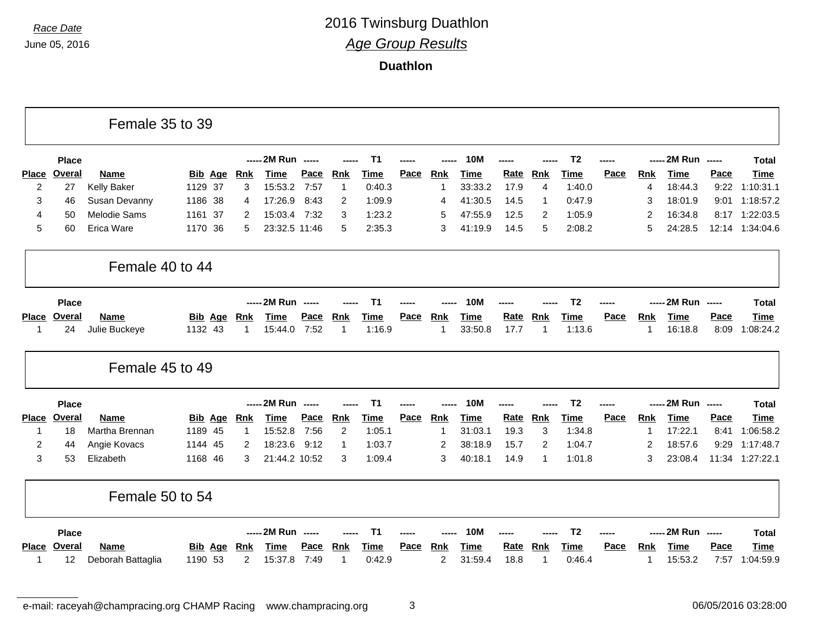|                |               | Female 35 to 39     |                |              |                    |      |                |                |             |                |             |             |                |                |             |                |                    |             |              |
|----------------|---------------|---------------------|----------------|--------------|--------------------|------|----------------|----------------|-------------|----------------|-------------|-------------|----------------|----------------|-------------|----------------|--------------------|-------------|--------------|
|                | <b>Place</b>  |                     |                |              | ----- 2M Run ----- |      |                | <b>T1</b>      |             |                | <b>10M</b>  |             |                | T <sub>2</sub> |             |                | ----- 2M Run ----- |             | <b>Total</b> |
| <b>Place</b>   | <b>Overal</b> | <b>Name</b>         | <b>Bib Age</b> | <u>Rnk</u>   | <b>Time</b>        | Pace | Rnk            | <b>Time</b>    | Pace        | <b>Rnk</b>     | <b>Time</b> | Rate        | <b>Rnk</b>     | <b>Time</b>    | Pace        | <b>Rnk</b>     | <b>Time</b>        | Pace        | Time         |
| $\overline{c}$ | 27            | Kelly Baker         | 1129 37        | 3            | 15:53.2            | 7:57 | -1             | 0:40.3         |             | -1             | 33:33.2     | 17.9        | $\overline{4}$ | 1:40.0         |             | 4              | 18:44.3            | 9:22        | 1:10:31.1    |
| 3              | 46            | Susan Devanny       | 1186 38        | 4            | 17:26.9            | 8:43 | $\overline{2}$ | 1:09.9         |             | 4              | 41:30.5     | 14.5        | -1             | 0:47.9         |             | З              | 18:01.9            | 9:01        | 1:18:57.2    |
| 4              | 50            | <b>Melodie Sams</b> | 1161<br>-37    | 2            | 15:03.4            | 7:32 | 3              | 1:23.2         |             | 5              | 47:55.9     | 12.5        | $\overline{2}$ | 1:05.9         |             | 2              | 16:34.8            | 8:17        | 1:22:03.5    |
| 5              | 60            | Erica Ware          | 1170<br>36     | 5            | 23:32.5 11:46      |      | 5              | 2:35.3         |             | 3              | 41:19.9     | 14.5        | 5              | 2:08.2         |             | 5              | 24:28.5            | 12:14       | 1:34:04.6    |
|                |               | Female 40 to 44     |                |              |                    |      |                |                |             |                |             |             |                |                |             |                |                    |             |              |
|                | <b>Place</b>  |                     |                |              | ----- 2M Run ----- |      |                | T1             |             |                | <b>10M</b>  |             |                | T <sub>2</sub> |             |                | ----- 2M Run ----- |             | <b>Total</b> |
|                | Place Overal  | <b>Name</b>         | <b>Bib Age</b> | <u>Rnk</u>   | <b>Time</b>        | Pace | <b>Rnk</b>     | <b>Time</b>    | <b>Pace</b> | Rnk            | <b>Time</b> | <b>Rate</b> | <b>Rnk</b>     | <b>Time</b>    | Pace        | <b>Rnk</b>     | <b>Time</b>        | Pace        | <b>Time</b>  |
| -1             | 24            | Julie Buckeye       | 1132 43        | 1            | 15:44.0            | 7:52 | 1              | 1:16.9         |             | -1             | 33:50.8     | 17.7        | -1             | 1:13.6         |             | 1              | 16:18.8            | 8:09        | 1:08:24.2    |
|                |               | Female 45 to 49     |                |              |                    |      |                |                |             |                |             |             |                |                |             |                |                    |             |              |
|                | <b>Place</b>  |                     |                |              | ----- 2M Run ----- |      |                | T <sub>1</sub> |             |                | <b>10M</b>  |             |                | T <sub>2</sub> |             |                | ----- 2M Run ----- |             | <b>Total</b> |
|                | Place Overal  | <b>Name</b>         | <b>Bib Age</b> | <b>Rnk</b>   | <b>Time</b>        | Pace | <b>Rnk</b>     | <b>Time</b>    | Pace        | <b>Rnk</b>     | <b>Time</b> | Rate        | Rnk            | Time           | Pace        | <b>Rnk</b>     | <b>Time</b>        | Pace        | <b>Time</b>  |
| $\mathbf{1}$   | 18            | Martha Brennan      | 1189 45        | $\mathbf{1}$ | 15:52.8            | 7:56 | $\overline{2}$ | 1:05.1         |             | $\overline{1}$ | 31:03.1     | 19.3        | 3              | 1:34.8         |             | $\mathbf 1$    | 17:22.1            | 8:41        | 1:06:58.2    |
| 2              | 44            | Angie Kovacs        | 1144 45        | 2            | 18:23.6            | 9:12 | 1              | 1:03.7         |             | 2              | 38:18.9     | 15.7        | 2              | 1:04.7         |             | $\overline{2}$ | 18:57.6            | 9:29        | 1:17:48.7    |
| 3              | 53            | Elizabeth           | 1168 46        | 3            | 21:44.2 10:52      |      | 3              | 1:09.4         |             | 3              | 40:18.1     | 14.9        | -1             | 1:01.8         |             | 3              | 23:08.4            | 11:34       | 1:27:22.1    |
|                |               | Female 50 to 54     |                |              |                    |      |                |                |             |                |             |             |                |                |             |                |                    |             |              |
|                | <b>Place</b>  |                     |                |              | ----- 2M Run ----- |      |                | T <sub>1</sub> |             |                | <b>10M</b>  |             |                | T <sub>2</sub> |             |                | ----- 2M Run ----- |             | <b>Total</b> |
| Place          | <b>Overal</b> | <b>Name</b>         | Bib<br>Age     | Rnk          | <b>Time</b>        | Pace | <b>Rnk</b>     | <b>Time</b>    | Pace        | Rnk            | <b>Time</b> | <u>Rate</u> | <b>Rnk</b>     | <b>Time</b>    | <b>Pace</b> | <b>Rnk</b>     | <b>Time</b>        | <b>Pace</b> | <b>Time</b>  |
| 1              | 12            | Deborah Battaglia   | 1190 53        | 2            | 15:37.8            | 7:49 | -1             | 0:42.9         |             | $\overline{c}$ | 31:59.4     | 18.8        | 1              | 0:46.4         |             | 1              | 15:53.2            | 7:57        | 1:04:59.9    |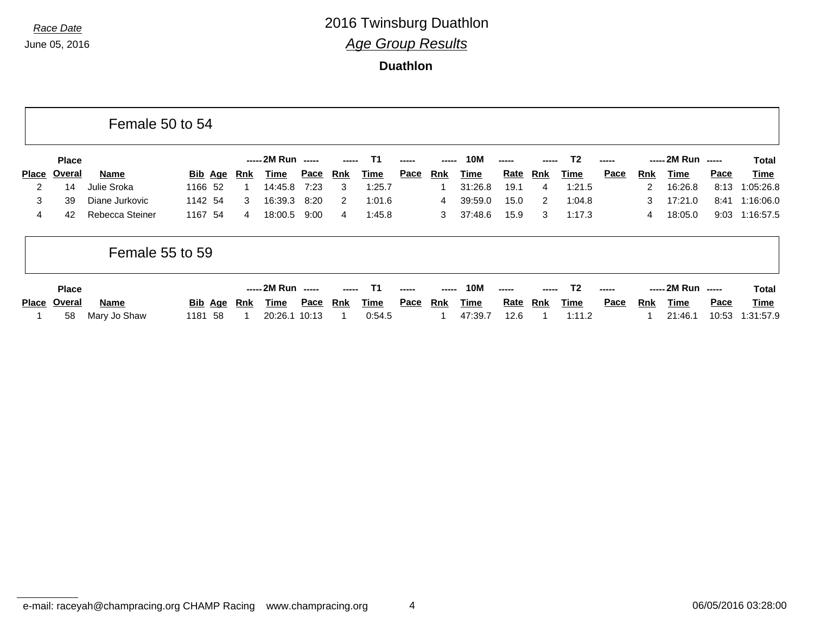|                |               | Female 50 to 54 |                |     |                    |             |                |        |      |       |             |             |     |                |             |            |                    |       |                |
|----------------|---------------|-----------------|----------------|-----|--------------------|-------------|----------------|--------|------|-------|-------------|-------------|-----|----------------|-------------|------------|--------------------|-------|----------------|
|                | <b>Place</b>  |                 |                |     | ----- 2M Run ----- |             |                | T1     |      | ----- | <b>10M</b>  |             |     | T <sub>2</sub> |             |            | ----- 2M Run ----- |       | Total          |
| <b>Place</b>   | <u>Overal</u> | Name            | <u>Bib</u> Age | Rnk | Time               | <u>Pace</u> | Rnk            | Time   | Pace | Rnk   | Time        | <u>Rate</u> | Rnk | Time           | <u>Pace</u> | <b>Rnk</b> | Time               | Pace  | Time           |
| $\overline{2}$ | 14            | Julie Sroka     | 1166 52        |     | 14:45.8            | 7:23        | 3              | 1:25.7 |      |       | 31:26.8     | 19.1        | 4   | 1:21.5         |             | 2          | 16:26.8            | 8:13  | 1:05:26.8      |
| 3              | 39            | Diane Jurkovic  | 1142 54        | 3   | 16:39.3            | 8:20        | $\overline{2}$ | 1:01.6 |      | 4     | 39:59.0     | 15.0        | 2   | 1:04.8         |             | 3          | 17:21.0            | 8:41  | 1:16:06.0      |
| 4              | 42            | Rebecca Steiner | 1167 54        | 4   | 18:00.5            | 9:00        | 4              | 1:45.8 |      | 3     | 37:48.6     | 15.9        | 3   | 1:17.3         |             | 4          | 18:05.0            |       | 9:03 1:16:57.5 |
|                |               | Female 55 to 59 |                |     |                    |             |                |        |      |       |             |             |     |                |             |            |                    |       |                |
|                | <b>Place</b>  |                 |                |     | ----- 2M Run ----- |             |                | T1     |      | ----- | <b>10M</b>  |             |     | T2             |             |            | ----- 2M Run ----- |       | Total          |
| <b>Place</b>   | Overal        | Name            | <u>Bib</u> Age | Rnk | Time               | <u>Pace</u> | Rnk            | Time   | Pace | Rnk   | <u>Time</u> | <u>Rate</u> | Rnk | <u>Time</u>    | Pace        | <b>Rnk</b> | Time               | Pace  | Time           |
|                | 58            | Mary Jo Shaw    | -58<br>1181    |     | 20:26.1            | 10:13       |                | 0:54.5 |      |       | 47:39.7     | 12.6        |     | 1:11.2         |             |            | 21:46.1            | 10:53 | 1:31:57.9      |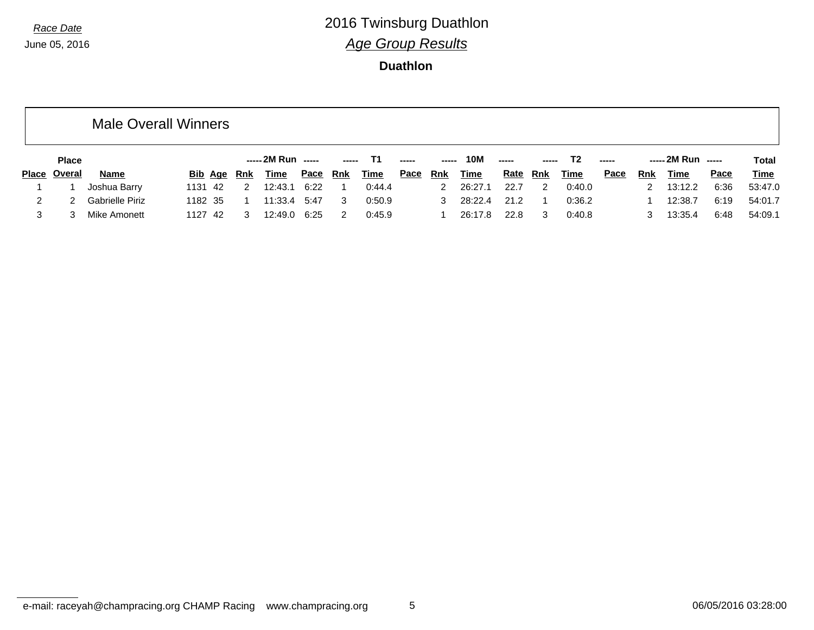|   |               | <b>Male Overall Winners</b> |         |         |                    |                      |             |                |             |                      |       |             |             |                |             |      |            |                    |      |             |
|---|---------------|-----------------------------|---------|---------|--------------------|----------------------|-------------|----------------|-------------|----------------------|-------|-------------|-------------|----------------|-------------|------|------------|--------------------|------|-------------|
|   | <b>Place</b>  |                             |         |         |                    | ----- 2M Run   ----- |             |                | ----- T1    | $\sim$ $\sim$ $\sim$ | ----- | 10M         | $---$       | -----          | T2          |      |            | ----- 2M Run ----- |      | Total       |
|   | Place Overal  | Name                        |         |         | <b>Bib Age Rnk</b> | Time                 | <u>Pace</u> | <u>Rnk</u>     | <b>Time</b> | <u>Pace</u>          | Rnk   | <b>Time</b> | <u>Rate</u> | <u>Rnk</u>     | <b>Time</b> | Pace | <u>Rnk</u> | Time               | Pace | <u>Time</u> |
|   |               | Joshua Barry                |         | 1131 42 | 2                  | 12:43.1              | 6:22        | $\overline{1}$ | 0:44.4      |                      |       | 2 26:27.1   | 22.7        | $\overline{2}$ | 0:40.0      |      | 2          | 13:12.2            | 6:36 | 53:47.0     |
| 2 | $\mathcal{P}$ | Gabrielle Piriz             | 1182 35 |         |                    | 11:33.4 5:47         |             | 3              | 0:50.9      |                      |       | 3 28:22.4   | 21.2        |                | 0:36.2      |      |            | 12:38.7            | 6:19 | 54:01.7     |
| 3 |               | Mike Amonett                | 1127 42 |         | 3                  | 12:49.0              | 6:25        | 2              | 0:45.9      |                      |       | 26:17.8     | 22.8        | 3              | 0:40.8      |      | 3          | 13:35.4            | 6:48 | 54:09.1     |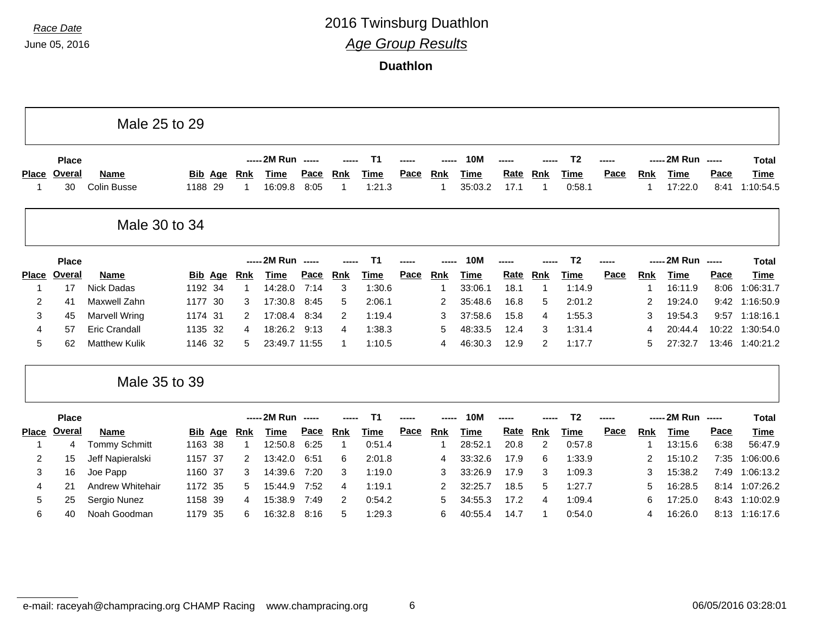л

#### *Race Date* 2016 Twinsburg Duathlon *Age Group Results*

**Duathlon**

| ----- 2M Run -----<br>T <sub>2</sub><br>----- 2M Run<br>Τ1<br><b>10M</b><br><b>Place</b><br>$\overline{\phantom{a}}$<br>Pace<br>Pace<br><b>Overal</b><br>Pace<br>Rate<br>Pace<br><b>Time</b><br><b>Name</b><br><b>Time</b><br><b>Rnk</b><br><b>Rnk</b><br><b>Rnk</b><br><b>Bib</b><br>Age<br>Rnk<br><u>Time</u><br><b>Time</b><br><b>Time</b><br><b>Rnk</b><br><b>Place</b><br>1:21.3<br>30<br>Colin Busse<br>1188 29<br>16:09.8<br>8:05<br>35:03.2<br>17.1<br>0:58.1<br>17:22.0<br>8:41<br>-1<br>1<br>-1<br>Male 30 to 34<br>----- 2M Run -----<br>----- 2M Run -----<br><b>10M</b><br>T <sub>2</sub><br>Τ1<br><b>Place</b><br>Pace<br><b>Overal</b><br>Pace<br><b>Rnk</b><br>Rate<br><b>Rnk</b><br>Pace<br><b>Time</b><br>Pace<br><b>Name</b><br><b>Rnk</b><br>Time<br>Rnk<br><b>Time</b><br><b>Time</b><br><b>Time</b><br><b>Rnk</b><br><b>Place</b><br>Bib<br>Age<br>1192 34<br>7:14<br>3<br><b>Nick Dadas</b><br>14:28.0<br>1:30.6<br>33:06.1<br>18.1<br>1:14.9<br>16:11.9<br>8:06<br>17<br>$\mathbf 1$<br>-1<br>-1<br>Maxwell Zahn<br>2<br>1177<br>- 30<br>17:30.8<br>8:45<br>2:06.1<br>35:48.6<br>2:01.2<br>19:24.0<br>9:42<br>5<br>16.8<br>5<br>2<br>41<br>3<br>2<br>3<br><b>Marvell Wring</b><br>1174 31<br>17:08.4<br>8:34<br>1:19.4<br>37:58.6<br>15.8<br>1:55.3<br>19:54.3<br>2<br>3<br>9:57<br>2<br>$\overline{4}$<br>3<br>45<br><b>Eric Crandall</b><br>1135 32<br>1:38.3<br>1:31.4<br>20:44.4<br>10:22<br>4<br>18:26.2<br>9:13<br>5<br>48:33.5<br>12.4<br>3<br>4<br>4<br>57<br>4<br>5<br><b>Matthew Kulik</b><br>1146 32<br>23:49.7 11:55<br>1:10.5<br>46:30.3<br>12.9<br>$\overline{2}$<br>1:17.7<br>27:32.7<br>13:46<br>62<br>5<br>4<br>5<br>Male 35 to 39<br>----- 2M Run -----<br>----- 2M Run -----<br>T <sub>2</sub><br><b>10M</b><br><b>Place</b><br>Τ1<br>Overal<br>Pace<br>Pace<br>Rate<br>Pace<br>Pace<br><b>Name</b><br><b>Rnk</b><br><b>Rnk</b><br><b>Rnk</b><br><b>Rnk</b><br><b>Place</b><br>Bib<br><u>Age</u><br><u>Rnk</u><br><b>Time</b><br><b>Time</b><br><b>Time</b><br><b>Time</b><br>Time<br>0:51.4<br><b>Tommy Schmitt</b><br>1163 38<br>12:50.8<br>6:25<br>28:52.1<br>20.8<br>2<br>0:57.8<br>13:15.6<br>6:38<br>4<br>$\mathbf 1$<br>1<br>-1<br>1<br>2:01.8<br>1:33.9<br>7:35<br>2<br>Jeff Napieralski<br>1157 37<br>2<br>13:42.0<br>6:51<br>6<br>33:32.6<br>17.9<br>6<br>15:10.2<br>15<br>2<br>4<br>3<br>Joe Papp<br>1160 37<br>1:19.0<br>1:09.3<br>15:38.2<br>14:39.6<br>7:20<br>3<br>3<br>33:26.9<br>17.9<br>3<br>3<br>7:49<br>3<br>16<br>Andrew Whitehair<br>1172 35<br>7:52<br>1:19.1<br>$\overline{2}$<br>32:25.7<br>18.5<br>5<br>1:27.7<br>16:28.5<br>8:14<br>4<br>21<br>5<br>15:44.9<br>5<br>4<br>5<br>Sergio Nunez<br>1158 39<br>7:49<br>0:54.2<br>5<br>17.2<br>1:09.4<br>17:25.0<br>8:43<br>25<br>15:38.9<br>2<br>34:55.3<br>6<br>4<br>4<br>Noah Goodman<br>8:13 1:16:17.6<br>6<br>1179 35<br>6<br>5<br>1:29.3<br>6<br>40:55.4<br>14.7<br>0:54.0<br>16:26.0<br>16:32.8<br>8:16<br>-1<br>40<br>4 |  | Male 25 to 29 |  |  |  |  |  |  |  |  |                          |
|------------------------------------------------------------------------------------------------------------------------------------------------------------------------------------------------------------------------------------------------------------------------------------------------------------------------------------------------------------------------------------------------------------------------------------------------------------------------------------------------------------------------------------------------------------------------------------------------------------------------------------------------------------------------------------------------------------------------------------------------------------------------------------------------------------------------------------------------------------------------------------------------------------------------------------------------------------------------------------------------------------------------------------------------------------------------------------------------------------------------------------------------------------------------------------------------------------------------------------------------------------------------------------------------------------------------------------------------------------------------------------------------------------------------------------------------------------------------------------------------------------------------------------------------------------------------------------------------------------------------------------------------------------------------------------------------------------------------------------------------------------------------------------------------------------------------------------------------------------------------------------------------------------------------------------------------------------------------------------------------------------------------------------------------------------------------------------------------------------------------------------------------------------------------------------------------------------------------------------------------------------------------------------------------------------------------------------------------------------------------------------------------------------------------------------------------------------------------------------------------------------------------------------------------------------------------------------------------------------------------------------------------------------------------------------------------------------------------------------------------------------------------------------------------------------------------------------------------------------------------------------------------------------------------------------------------|--|---------------|--|--|--|--|--|--|--|--|--------------------------|
|                                                                                                                                                                                                                                                                                                                                                                                                                                                                                                                                                                                                                                                                                                                                                                                                                                                                                                                                                                                                                                                                                                                                                                                                                                                                                                                                                                                                                                                                                                                                                                                                                                                                                                                                                                                                                                                                                                                                                                                                                                                                                                                                                                                                                                                                                                                                                                                                                                                                                                                                                                                                                                                                                                                                                                                                                                                                                                                                                |  |               |  |  |  |  |  |  |  |  | <b>Total</b>             |
|                                                                                                                                                                                                                                                                                                                                                                                                                                                                                                                                                                                                                                                                                                                                                                                                                                                                                                                                                                                                                                                                                                                                                                                                                                                                                                                                                                                                                                                                                                                                                                                                                                                                                                                                                                                                                                                                                                                                                                                                                                                                                                                                                                                                                                                                                                                                                                                                                                                                                                                                                                                                                                                                                                                                                                                                                                                                                                                                                |  |               |  |  |  |  |  |  |  |  | <b>Time</b><br>1:10:54.5 |
|                                                                                                                                                                                                                                                                                                                                                                                                                                                                                                                                                                                                                                                                                                                                                                                                                                                                                                                                                                                                                                                                                                                                                                                                                                                                                                                                                                                                                                                                                                                                                                                                                                                                                                                                                                                                                                                                                                                                                                                                                                                                                                                                                                                                                                                                                                                                                                                                                                                                                                                                                                                                                                                                                                                                                                                                                                                                                                                                                |  |               |  |  |  |  |  |  |  |  |                          |
|                                                                                                                                                                                                                                                                                                                                                                                                                                                                                                                                                                                                                                                                                                                                                                                                                                                                                                                                                                                                                                                                                                                                                                                                                                                                                                                                                                                                                                                                                                                                                                                                                                                                                                                                                                                                                                                                                                                                                                                                                                                                                                                                                                                                                                                                                                                                                                                                                                                                                                                                                                                                                                                                                                                                                                                                                                                                                                                                                |  |               |  |  |  |  |  |  |  |  | <b>Total</b>             |
|                                                                                                                                                                                                                                                                                                                                                                                                                                                                                                                                                                                                                                                                                                                                                                                                                                                                                                                                                                                                                                                                                                                                                                                                                                                                                                                                                                                                                                                                                                                                                                                                                                                                                                                                                                                                                                                                                                                                                                                                                                                                                                                                                                                                                                                                                                                                                                                                                                                                                                                                                                                                                                                                                                                                                                                                                                                                                                                                                |  |               |  |  |  |  |  |  |  |  | <b>Time</b>              |
|                                                                                                                                                                                                                                                                                                                                                                                                                                                                                                                                                                                                                                                                                                                                                                                                                                                                                                                                                                                                                                                                                                                                                                                                                                                                                                                                                                                                                                                                                                                                                                                                                                                                                                                                                                                                                                                                                                                                                                                                                                                                                                                                                                                                                                                                                                                                                                                                                                                                                                                                                                                                                                                                                                                                                                                                                                                                                                                                                |  |               |  |  |  |  |  |  |  |  | 1:06:31.7                |
|                                                                                                                                                                                                                                                                                                                                                                                                                                                                                                                                                                                                                                                                                                                                                                                                                                                                                                                                                                                                                                                                                                                                                                                                                                                                                                                                                                                                                                                                                                                                                                                                                                                                                                                                                                                                                                                                                                                                                                                                                                                                                                                                                                                                                                                                                                                                                                                                                                                                                                                                                                                                                                                                                                                                                                                                                                                                                                                                                |  |               |  |  |  |  |  |  |  |  | 1:16:50.9                |
|                                                                                                                                                                                                                                                                                                                                                                                                                                                                                                                                                                                                                                                                                                                                                                                                                                                                                                                                                                                                                                                                                                                                                                                                                                                                                                                                                                                                                                                                                                                                                                                                                                                                                                                                                                                                                                                                                                                                                                                                                                                                                                                                                                                                                                                                                                                                                                                                                                                                                                                                                                                                                                                                                                                                                                                                                                                                                                                                                |  |               |  |  |  |  |  |  |  |  | 1:18:16.1                |
|                                                                                                                                                                                                                                                                                                                                                                                                                                                                                                                                                                                                                                                                                                                                                                                                                                                                                                                                                                                                                                                                                                                                                                                                                                                                                                                                                                                                                                                                                                                                                                                                                                                                                                                                                                                                                                                                                                                                                                                                                                                                                                                                                                                                                                                                                                                                                                                                                                                                                                                                                                                                                                                                                                                                                                                                                                                                                                                                                |  |               |  |  |  |  |  |  |  |  | 1:30:54.0                |
|                                                                                                                                                                                                                                                                                                                                                                                                                                                                                                                                                                                                                                                                                                                                                                                                                                                                                                                                                                                                                                                                                                                                                                                                                                                                                                                                                                                                                                                                                                                                                                                                                                                                                                                                                                                                                                                                                                                                                                                                                                                                                                                                                                                                                                                                                                                                                                                                                                                                                                                                                                                                                                                                                                                                                                                                                                                                                                                                                |  |               |  |  |  |  |  |  |  |  | 1:40:21.2                |
|                                                                                                                                                                                                                                                                                                                                                                                                                                                                                                                                                                                                                                                                                                                                                                                                                                                                                                                                                                                                                                                                                                                                                                                                                                                                                                                                                                                                                                                                                                                                                                                                                                                                                                                                                                                                                                                                                                                                                                                                                                                                                                                                                                                                                                                                                                                                                                                                                                                                                                                                                                                                                                                                                                                                                                                                                                                                                                                                                |  |               |  |  |  |  |  |  |  |  |                          |
|                                                                                                                                                                                                                                                                                                                                                                                                                                                                                                                                                                                                                                                                                                                                                                                                                                                                                                                                                                                                                                                                                                                                                                                                                                                                                                                                                                                                                                                                                                                                                                                                                                                                                                                                                                                                                                                                                                                                                                                                                                                                                                                                                                                                                                                                                                                                                                                                                                                                                                                                                                                                                                                                                                                                                                                                                                                                                                                                                |  |               |  |  |  |  |  |  |  |  | <b>Total</b>             |
|                                                                                                                                                                                                                                                                                                                                                                                                                                                                                                                                                                                                                                                                                                                                                                                                                                                                                                                                                                                                                                                                                                                                                                                                                                                                                                                                                                                                                                                                                                                                                                                                                                                                                                                                                                                                                                                                                                                                                                                                                                                                                                                                                                                                                                                                                                                                                                                                                                                                                                                                                                                                                                                                                                                                                                                                                                                                                                                                                |  |               |  |  |  |  |  |  |  |  | <b>Time</b>              |
|                                                                                                                                                                                                                                                                                                                                                                                                                                                                                                                                                                                                                                                                                                                                                                                                                                                                                                                                                                                                                                                                                                                                                                                                                                                                                                                                                                                                                                                                                                                                                                                                                                                                                                                                                                                                                                                                                                                                                                                                                                                                                                                                                                                                                                                                                                                                                                                                                                                                                                                                                                                                                                                                                                                                                                                                                                                                                                                                                |  |               |  |  |  |  |  |  |  |  | 56:47.9                  |
|                                                                                                                                                                                                                                                                                                                                                                                                                                                                                                                                                                                                                                                                                                                                                                                                                                                                                                                                                                                                                                                                                                                                                                                                                                                                                                                                                                                                                                                                                                                                                                                                                                                                                                                                                                                                                                                                                                                                                                                                                                                                                                                                                                                                                                                                                                                                                                                                                                                                                                                                                                                                                                                                                                                                                                                                                                                                                                                                                |  |               |  |  |  |  |  |  |  |  | 1:06:00.6                |
|                                                                                                                                                                                                                                                                                                                                                                                                                                                                                                                                                                                                                                                                                                                                                                                                                                                                                                                                                                                                                                                                                                                                                                                                                                                                                                                                                                                                                                                                                                                                                                                                                                                                                                                                                                                                                                                                                                                                                                                                                                                                                                                                                                                                                                                                                                                                                                                                                                                                                                                                                                                                                                                                                                                                                                                                                                                                                                                                                |  |               |  |  |  |  |  |  |  |  | 1:06:13.2                |
|                                                                                                                                                                                                                                                                                                                                                                                                                                                                                                                                                                                                                                                                                                                                                                                                                                                                                                                                                                                                                                                                                                                                                                                                                                                                                                                                                                                                                                                                                                                                                                                                                                                                                                                                                                                                                                                                                                                                                                                                                                                                                                                                                                                                                                                                                                                                                                                                                                                                                                                                                                                                                                                                                                                                                                                                                                                                                                                                                |  |               |  |  |  |  |  |  |  |  | 1:07:26.2                |
|                                                                                                                                                                                                                                                                                                                                                                                                                                                                                                                                                                                                                                                                                                                                                                                                                                                                                                                                                                                                                                                                                                                                                                                                                                                                                                                                                                                                                                                                                                                                                                                                                                                                                                                                                                                                                                                                                                                                                                                                                                                                                                                                                                                                                                                                                                                                                                                                                                                                                                                                                                                                                                                                                                                                                                                                                                                                                                                                                |  |               |  |  |  |  |  |  |  |  | 1:10:02.9                |
|                                                                                                                                                                                                                                                                                                                                                                                                                                                                                                                                                                                                                                                                                                                                                                                                                                                                                                                                                                                                                                                                                                                                                                                                                                                                                                                                                                                                                                                                                                                                                                                                                                                                                                                                                                                                                                                                                                                                                                                                                                                                                                                                                                                                                                                                                                                                                                                                                                                                                                                                                                                                                                                                                                                                                                                                                                                                                                                                                |  |               |  |  |  |  |  |  |  |  |                          |

┑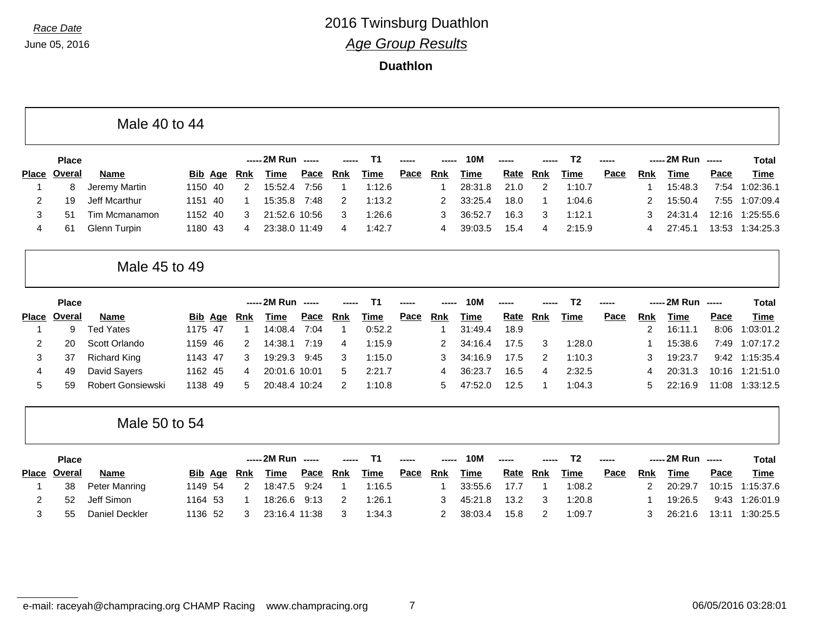|              |              | Male 40 to 44            |                   |            |                    |                          |                         |                |             |            |             |             |                |                |      |            |                    |             |              |
|--------------|--------------|--------------------------|-------------------|------------|--------------------|--------------------------|-------------------------|----------------|-------------|------------|-------------|-------------|----------------|----------------|------|------------|--------------------|-------------|--------------|
|              | <b>Place</b> |                          |                   |            | ----- 2M Run       | $\overline{\phantom{a}}$ |                         | T1             |             |            | <b>10M</b>  |             |                | T <sub>2</sub> |      | -----      | 2M Run -----       |             | <b>Total</b> |
| <b>Place</b> | Overal       | <b>Name</b>              | <b>Bib Age</b>    | <b>Rnk</b> | Time               | Pace                     | <b>Rnk</b>              | Time           | Pace        | <b>Rnk</b> | <b>Time</b> | <b>Rate</b> | Rnk            | Time           | Pace | <b>Rnk</b> | <b>Time</b>        | Pace        | <b>Time</b>  |
| -1           | 8            | Jeremy Martin            | 40<br>1150        | 2          | 15:52.4            | 7:56                     | $\mathbf 1$             | 1:12.6         |             | -1         | 28:31.8     | 21.0        | $\overline{2}$ | 1:10.7         |      | -1         | 15:48.3            | 7:54        | 1:02:36.1    |
| 2            | 19           | Jeff Mcarthur            | 1151<br>-40       | 1          | 15:35.8            | 7:48                     | 2                       | 1:13.2         |             | 2          | 33:25.4     | 18.0        | -1             | 1:04.6         |      | 2          | 15:50.4            | 7:55        | 1:07:09.4    |
| 3            | 51           | Tim Mcmanamon            | 1152<br>-40       | 3          | 21:52.6 10:56      |                          | 3                       | 1:26.6         |             | 3          | 36:52.7     | 16.3        | 3              | 1:12.1         |      | 3          | 24:31.4            | 12:16       | 1:25:55.6    |
| 4            | 61           | Glenn Turpin             | 1180 43           | 4          | 23:38.0 11:49      |                          | 4                       | 1:42.7         |             | 4          | 39:03.5     | 15.4        | 4              | 2:15.9         |      | 4          | 27:45.1            | 13:53       | 1:34:25.3    |
|              |              | Male 45 to 49            |                   |            |                    |                          |                         |                |             |            |             |             |                |                |      |            |                    |             |              |
|              | <b>Place</b> |                          |                   |            | ----- 2M Run ----- |                          |                         | T <sub>1</sub> |             |            | <b>10M</b>  |             |                | T <sub>2</sub> |      |            | ----- 2M Run ----- |             | <b>Total</b> |
| <b>Place</b> | Overal       | <b>Name</b>              | <b>Bib Age</b>    | <b>Rnk</b> | Time               | Pace                     | <b>Rnk</b>              | Time           | Pace        | <b>Rnk</b> | <b>Time</b> | Rate        | <b>Rnk</b>     | Time           | Pace | <u>Rnk</u> | <b>Time</b>        | Pace        | <b>Time</b>  |
| -1           | 9            | <b>Ted Yates</b>         | 1175 47           | -1         | 14:08.4            | 7:04                     | $\overline{\mathbf{1}}$ | 0:52.2         |             | -1         | 31:49.4     | 18.9        |                |                |      | 2          | 16:11.1            | 8:06        | 1:03:01.2    |
| 2            | 20           | Scott Orlando            | 1159 46           | 2          | 14:38.1            | 7:19                     | 4                       | 1:15.9         |             | 2          | 34:16.4     | 17.5        | 3              | 1:28.0         |      |            | 15:38.6            | 7:49        | 1:07:17.2    |
| 3            | 37           | <b>Richard King</b>      | 1143 47           | 3          | 19:29.3            | 9:45                     | 3                       | 1:15.0         |             | 3          | 34:16.9     | 17.5        | 2              | 1:10.3         |      | 3          | 19:23.7            | 9:42        | 1:15:35.4    |
| 4            | 49           | David Sayers             | 1162 45           | 4          | 20:01.6 10:01      |                          | 5                       | 2:21.7         |             | 4          | 36:23.7     | 16.5        | 4              | 2:32.5         |      | 4          | 20:31.3            | 10:16       | 1:21:51.0    |
| 5            | 59           | <b>Robert Gonsiewski</b> | 1138<br>-49       | 5          | 20:48.4 10:24      |                          | 2                       | 1:10.8         |             | 5          | 47:52.0     | 12.5        | -1             | 1:04.3         |      | 5          | 22:16.9            | 11:08       | 1:33:12.5    |
|              |              | Male 50 to 54            |                   |            |                    |                          |                         |                |             |            |             |             |                |                |      |            |                    |             |              |
|              | <b>Place</b> |                          |                   |            | ----- 2M Run ----- |                          |                         | T <sub>1</sub> |             |            | <b>10M</b>  |             |                | T <sub>2</sub> |      |            | ----- 2M Run       | $- - - - -$ | <b>Total</b> |
| <b>Place</b> | Overal       | Name                     | Bib<br><u>Age</u> | Rnk        | Time               | Pace                     | <b>Rnk</b>              | <b>Time</b>    | <b>Pace</b> | <b>Rnk</b> | <b>Time</b> | Rate        | <b>Rnk</b>     | <b>Time</b>    | Pace | <b>Rnk</b> | <b>Time</b>        | Pace        | <b>Time</b>  |
|              | 38           | Peter Manring            | 54<br>1149        | 2          | 18:47.5            | 9:24                     | $\mathbf 1$             | 1:16.5         |             | -1         | 33:55.6     | 17.7        | -1             | 1:08.2         |      | 2          | 20:29.7            | 10:15       | 1:15:37.6    |
| 2            | 52           | Jeff Simon               | 1164<br>-53       | 1          | 18:26.6            | 9:13                     | $\overline{2}$          | 1:26.1         |             | 3          | 45:21.8     | 13.2        | 3              | 1:20.8         |      |            | 19:26.5            | 9:43        | 1:26:01.9    |
| 3            | 55           | <b>Daniel Deckler</b>    | 1136 52           | 3          | 23:16.4 11:38      |                          | 3                       | 1:34.3         |             | 2          | 38:03.4     | 15.8        | 2              | 1:09.7         |      | 3          | 26:21.6            | 13:11       | 1:30:25.5    |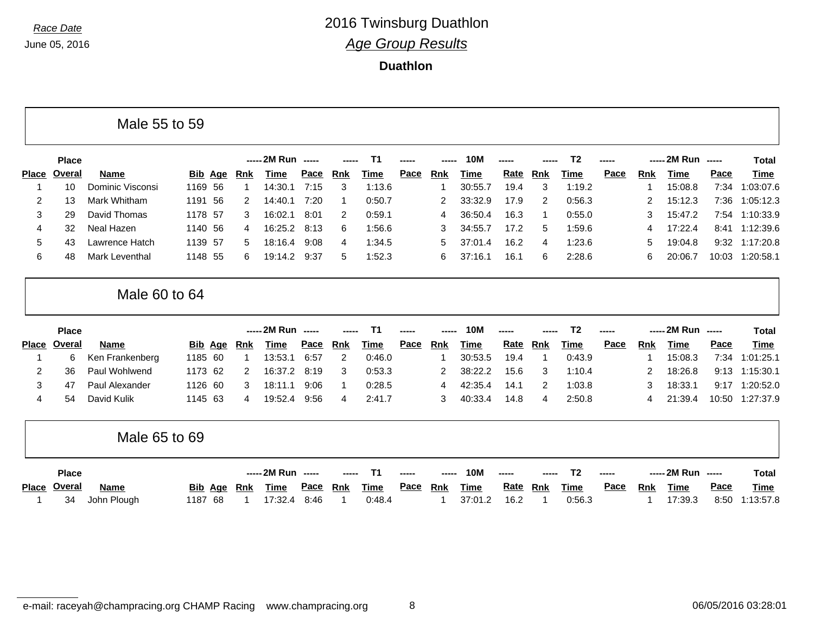|                |              | Male 55 to 59           |                |     |            |                    |      |            |                |             |            |             |      |            |                |       |            |                    |             |                 |
|----------------|--------------|-------------------------|----------------|-----|------------|--------------------|------|------------|----------------|-------------|------------|-------------|------|------------|----------------|-------|------------|--------------------|-------------|-----------------|
|                | <b>Place</b> |                         |                |     |            | ----- 2M Run ----- |      |            | T <sub>1</sub> |             |            | <b>10M</b>  |      |            | T <sub>2</sub> |       |            | ----- 2M Run ----- |             | <b>Total</b>    |
| <b>Place</b>   | Overal       | <b>Name</b>             | Bib Age        |     | <b>Rnk</b> | <b>Time</b>        | Pace | Rnk        | Time           | Pace        | <b>Rnk</b> | <b>Time</b> | Rate | <b>Rnk</b> | <b>Time</b>    | Pace  | <u>Rnk</u> | <b>Time</b>        | Pace        | Time            |
|                | 10           | <b>Dominic Visconsi</b> | 1169 56        |     | -1         | 14:30.1            | 7:15 | 3          | 1:13.6         |             | -1         | 30:55.7     | 19.4 | 3          | 1:19.2         |       |            | 15:08.8            | 7:34        | 1:03:07.6       |
| 2              | 13           | Mark Whitham            | 1191 56        |     | 2          | 14:40.1            | 7:20 |            | 0:50.7         |             | 2          | 33:32.9     | 17.9 | 2          | 0:56.3         |       | 2          | 15:12.3            | 7:36        | 1:05:12.3       |
| 3              | 29           | David Thomas            | 1178 57        |     | 3          | 16:02.1            | 8:01 | 2          | 0:59.1         |             | 4          | 36:50.4     | 16.3 | -1         | 0:55.0         |       | 3          | 15:47.2            | 7:54        | 1:10:33.9       |
| 4              | 32           | Neal Hazen              | 1140 56        |     | 4          | 16:25.2            | 8:13 | 6          | 1:56.6         |             | 3          | 34:55.7     | 17.2 | 5          | 1:59.6         |       | 4          | 17:22.4            | 8:41        | 1:12:39.6       |
| 5              | 43           | Lawrence Hatch          | 1139 57        |     | 5          | 18:16.4            | 9:08 | 4          | 1:34.5         |             | 5          | 37:01.4     | 16.2 | 4          | 1:23.6         |       | 5          | 19:04.8            | 9:32        | 1:17:20.8       |
| 6              | 48           | Mark Leventhal          | 1148 55        |     | 6          | 19:14.2            | 9:37 | 5          | 1:52.3         |             | 6          | 37:16.1     | 16.1 | 6          | 2:28.6         |       | 6          | 20:06.7            | 10:03       | 1:20:58.1       |
|                |              | Male 60 to 64           |                |     |            |                    |      |            |                |             |            |             |      |            |                |       |            |                    |             |                 |
|                | <b>Place</b> |                         |                |     |            | ----- 2M Run ----- |      |            | T1             |             |            | <b>10M</b>  |      |            | T <sub>2</sub> |       |            | ----- 2M Run       | $- - - - -$ | <b>Total</b>    |
| <b>Place</b>   | Overal       | <b>Name</b>             | <b>Bib Age</b> |     | <u>Rnk</u> | <b>Time</b>        | Pace | <b>Rnk</b> | <b>Time</b>    | Pace        | <b>Rnk</b> | <b>Time</b> | Rate | <b>Rnk</b> | Time           | Pace  | Rnk        | <b>Time</b>        | Pace        | <b>Time</b>     |
|                | 6            | Ken Frankenberg         | 1185 60        |     | -1         | 13:53.1            | 6:57 | 2          | 0:46.0         |             |            | 30:53.5     | 19.4 | 1          | 0:43.9         |       |            | 15:08.3            | 7:34        | 1:01:25.1       |
| $\overline{c}$ | 36           | Paul Wohlwend           | 1173 62        |     | 2          | 16:37.2            | 8:19 | 3          | 0:53.3         |             | 2          | 38:22.2     | 15.6 | 3          | 1:10.4         |       | 2          | 18:26.8            | 9:13        | 1:15:30.1       |
| 3              | 47           | Paul Alexander          | 1126 60        |     | 3          | 18:11.1            | 9:06 |            | 0:28.5         |             | 4          | 42:35.4     | 14.1 | 2          | 1:03.8         |       | 3          | 18:33.1            | 9:17        | 1:20:52.0       |
| 4              | 54           | David Kulik             | 1145 63        |     | 4          | 19:52.4            | 9:56 | 4          | 2:41.7         |             | 3          | 40:33.4     | 14.8 | 4          | 2:50.8         |       | 4          | 21:39.4            |             | 10:50 1:27:37.9 |
|                |              |                         |                |     |            |                    |      |            |                |             |            |             |      |            |                |       |            |                    |             |                 |
|                |              | Male 65 to 69           |                |     |            |                    |      |            |                |             |            |             |      |            |                |       |            |                    |             |                 |
|                | <b>Place</b> |                         |                |     |            | ----- 2M Run ----- |      | -----      | T1             |             |            | <b>10M</b>  |      |            | T <sub>2</sub> | ----- |            | ----- 2M Run ----- |             | <b>Total</b>    |
| <b>Place</b>   | Overal       | <b>Name</b>             | <b>Bib</b>     | Age | <b>Rnk</b> | Time               | Pace | <b>Rnk</b> | <b>Time</b>    | <b>Pace</b> | <b>Rnk</b> | Time        | Rate | <u>Rnk</u> | <b>Time</b>    | Pace  | <b>Rnk</b> | <b>Time</b>        | Pace        | Time            |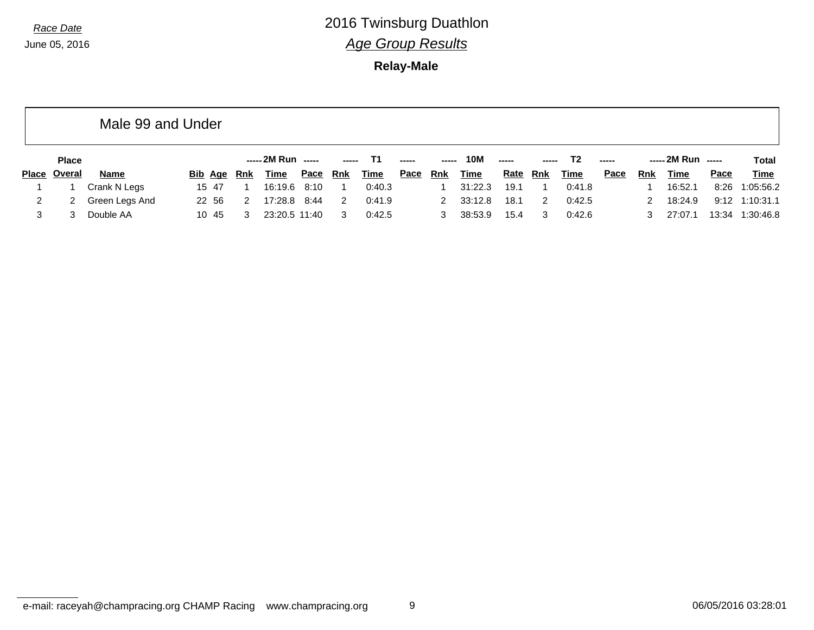**Relay-Male**

|              | Male 99 and Under |             |   |                    |             |            |             |                                                                                                                                                                                                                                                                                                                                                                                                                                                                                        |            |             |             |       |        |       |               |                    |      |                 |
|--------------|-------------------|-------------|---|--------------------|-------------|------------|-------------|----------------------------------------------------------------------------------------------------------------------------------------------------------------------------------------------------------------------------------------------------------------------------------------------------------------------------------------------------------------------------------------------------------------------------------------------------------------------------------------|------------|-------------|-------------|-------|--------|-------|---------------|--------------------|------|-----------------|
| <b>Place</b> |                   |             |   | ----- 2M Run ----- |             |            | T1.         | $\begin{array}{cccccccccccccc} \multicolumn{2}{c}{} & \multicolumn{2}{c}{} & \multicolumn{2}{c}{} & \multicolumn{2}{c}{} & \multicolumn{2}{c}{} & \multicolumn{2}{c}{} & \multicolumn{2}{c}{} & \multicolumn{2}{c}{} & \multicolumn{2}{c}{} & \multicolumn{2}{c}{} & \multicolumn{2}{c}{} & \multicolumn{2}{c}{} & \multicolumn{2}{c}{} & \multicolumn{2}{c}{} & \multicolumn{2}{c}{} & \multicolumn{2}{c}{} & \multicolumn{2}{c}{} & \multicolumn{2}{c}{} & \multicolumn{2}{c}{} & \$ | -----      | <b>10M</b>  | -----       | ----- | T2     | ----- |               | ----- 2M Run ----- |      | <b>Total</b>    |
| Place Overal | Name              | Bib Age Rnk |   | Time               | <u>Pace</u> | <u>Rnk</u> | <u>Time</u> | <u>Pace</u>                                                                                                                                                                                                                                                                                                                                                                                                                                                                            | <u>Rnk</u> | <u>Time</u> | <u>Rate</u> | Rnk   | Time   | Pace  | Rnk           | Time               | Pace | <u>Time</u>     |
|              | Crank N Legs      | 15 47       |   | 16:19.6 8:10       |             |            | 0:40.3      |                                                                                                                                                                                                                                                                                                                                                                                                                                                                                        |            | 31:22.3     | 19.1        |       | 0:41.8 |       |               | 16:52.1            |      | 8:26 1:05:56.2  |
| 2            | Green Legs And    | 22 56       | 2 | 17:28.8 8:44       |             | 2          | 0:41.9      |                                                                                                                                                                                                                                                                                                                                                                                                                                                                                        | 2          | 33:12.8     | 18.1        | 2     | 0:42.5 |       | $\mathcal{P}$ | 18:24.9            |      | 9:12 1:10:31.1  |
| 3            | Double AA         | 10 45       | 3 | 23:20.5 11:40      |             | 3          | 0:42.5      |                                                                                                                                                                                                                                                                                                                                                                                                                                                                                        | з          | 38:53.9     | 15.4        | 3     | 0:42.6 |       |               | 27:07.1            |      | 13:34 1:30:46.8 |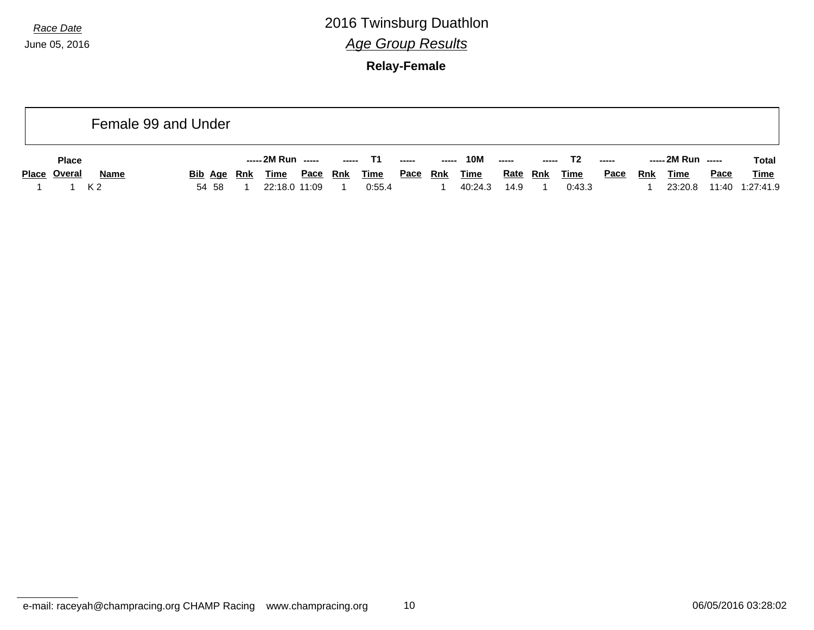June 05, 2016

*Race Date* 2016 Twinsburg Duathlon *Age Group Results*

**Relay-Female**

|                     |                | Female 99 and Under |                    |      |       |             |                          |     |             |                 |               |             |                          |            |                    |       |              |
|---------------------|----------------|---------------------|--------------------|------|-------|-------------|--------------------------|-----|-------------|-----------------|---------------|-------------|--------------------------|------------|--------------------|-------|--------------|
| <b>Place</b>        |                |                     | ----- 2M Run ----- |      | ----- | T1.         | $\overline{\phantom{a}}$ |     | 10M         | -----           | $\frac{1}{2}$ | T2          | $\overline{\phantom{a}}$ |            | ----- 2M Run ----- |       | <b>Total</b> |
| <b>Place Overal</b> | <b>Name</b>    | Bib Age Rnk         | <u>Time</u>        | Pace | Rnk   | <u>Time</u> | <u>Pace</u>              | Rnk | <b>Time</b> | <u>Rate</u> Rnk |               | <b>Time</b> | <b>Pace</b>              | <b>Rnk</b> | <u>Time</u>        | Pace  | <b>Time</b>  |
|                     | K <sub>2</sub> | 54 58               | 22:18.0 11:09      |      |       | 0:55.4      |                          |     | 40:24.3     | 14.9            |               | 0:43.3      |                          |            | 23:20.8            | 11:40 | 1:27:41.9    |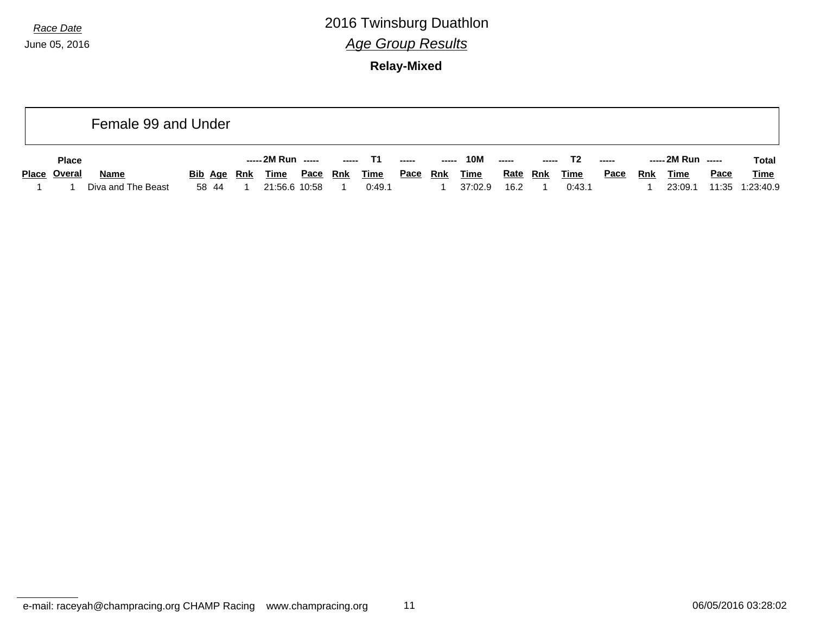**Relay-Mixed**

|              | Female 99 and Under |                    |                      |             |               |             |             |            |             |                 |             |             |             |            |                    |       |             |
|--------------|---------------------|--------------------|----------------------|-------------|---------------|-------------|-------------|------------|-------------|-----------------|-------------|-------------|-------------|------------|--------------------|-------|-------------|
| <b>Place</b> |                     |                    | ----- 2M Run   ----- |             | $\frac{1}{2}$ |             | $- - - - -$ | -----      | <b>10M</b>  | $\overline{a}$  | $- - - - -$ | T2          | $- - - - -$ |            | ----- 2M Run ----- |       | Total       |
| Place Overal | <b>Name</b>         | <b>Bib Age Rnk</b> | Time                 | <u>Pace</u> | <u>Rnk</u>    | <u>Time</u> | <u>Pace</u> | <u>Rnk</u> | <b>Time</b> | <b>Rate Rnk</b> |             | <u>Time</u> | <u>Pace</u> | <b>Rnk</b> | <b>Time</b>        | Pace  | <u>Time</u> |
|              | Diva and The Beast  | 58 44              | 21:56.6 10:58        |             |               | 0:49.1      |             |            | 37:02.9     | 16.2            |             | 0:43.1      |             |            | 23:09.1            | 11:35 | 1:23:40.9   |